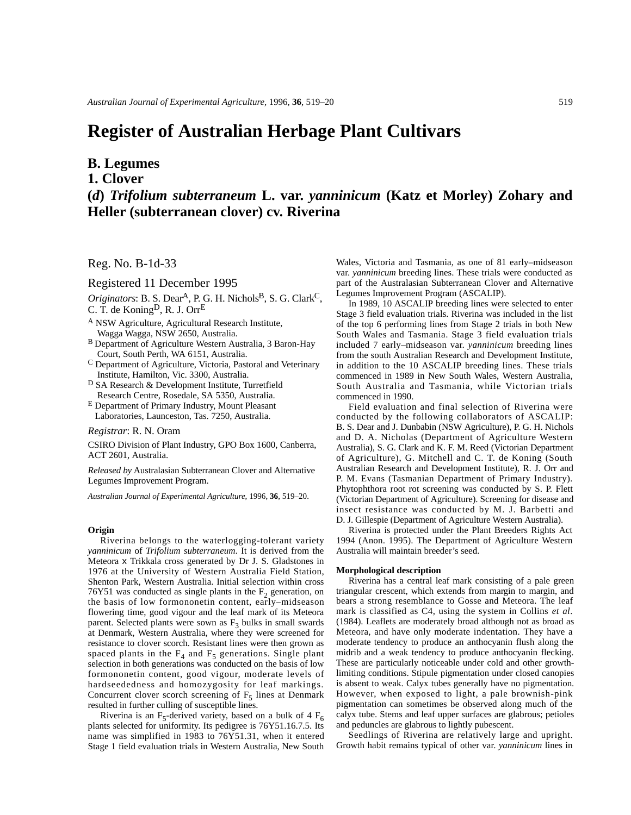# **Register of Australian Herbage Plant Cultivars**

## **B. Legumes**

## **1. Clover**

## **(***d***)** *Trifolium subterraneum* **L. var.** *yanninicum* **(Katz et Morley) Zohary and Heller (subterranean clover) cv. Riverina**

## Reg. No. B-1d-33

### Registered 11 December 1995

 $Originators$ : B. S. Dear<sup>A</sup>, P. G. H. Nichols<sup>B</sup>, S. G. Clark<sup>C</sup>, C. T. de KoningD, R. J. OrrE

- <sup>A</sup> NSW Agriculture, Agricultural Research Institute, Wagga Wagga, NSW 2650, Australia.
- B Department of Agriculture Western Australia, 3 Baron-Hay Court, South Perth, WA 6151, Australia.
- <sup>C</sup> Department of Agriculture, Victoria, Pastoral and Veterinary Institute, Hamilton, Vic. 3300, Australia.
- <sup>D</sup> SA Research & Development Institute, Turretfield Research Centre, Rosedale, SA 5350, Australia.
- <sup>E</sup> Department of Primary Industry, Mount Pleasant Laboratories, Launceston, Tas. 7250, Australia.

*Registrar*: R. N. Oram

CSIRO Division of Plant Industry, GPO Box 1600, Canberra, ACT 2601, Australia.

*Released by* Australasian Subterranean Clover and Alternative Legumes Improvement Program.

*Australian Journal of Experimental Agriculture*, 1996, **36**, 519–20.

#### **Origin**

Riverina belongs to the waterlogging-tolerant variety *yanninicum* of *Trifolium subterraneum*. It is derived from the Meteora x Trikkala cross generated by Dr J. S. Gladstones in 1976 at the University of Western Australia Field Station, Shenton Park, Western Australia. Initial selection within cross 76Y51 was conducted as single plants in the  $F<sub>2</sub>$  generation, on the basis of low formononetin content, early–midseason flowering time, good vigour and the leaf mark of its Meteora parent. Selected plants were sown as  $F_3$  bulks in small swards at Denmark, Western Australia, where they were screened for resistance to clover scorch. Resistant lines were then grown as spaced plants in the  $F_4$  and  $F_5$  generations. Single plant selection in both generations was conducted on the basis of low formononetin content, good vigour, moderate levels of hardseededness and homozygosity for leaf markings. Concurrent clover scorch screening of  $F_5$  lines at Denmark resulted in further culling of susceptible lines.

Riverina is an F<sub>5</sub>-derived variety, based on a bulk of 4  $F_6$ plants selected for uniformity. Its pedigree is 76Y51.16.7.5. Its name was simplified in 1983 to 76Y51.31, when it entered Stage 1 field evaluation trials in Western Australia, New South

Wales, Victoria and Tasmania, as one of 81 early–midseason var. *yanninicum* breeding lines. These trials were conducted as part of the Australasian Subterranean Clover and Alternative Legumes Improvement Program (ASCALIP).

In 1989, 10 ASCALIP breeding lines were selected to enter Stage 3 field evaluation trials. Riverina was included in the list of the top 6 performing lines from Stage 2 trials in both New South Wales and Tasmania. Stage 3 field evaluation trials included 7 early–midseason var. *yanninicum* breeding lines from the south Australian Research and Development Institute, in addition to the 10 ASCALIP breeding lines. These trials commenced in 1989 in New South Wales, Western Australia, South Australia and Tasmania, while Victorian trials commenced in 1990.

Field evaluation and final selection of Riverina were conducted by the following collaborators of ASCALIP: B. S. Dear and J. Dunbabin (NSW Agriculture), P. G. H. Nichols and D. A. Nicholas (Department of Agriculture Western Australia), S. G. Clark and K. F. M. Reed (Victorian Department of Agriculture), G. Mitchell and C. T. de Koning (South Australian Research and Development Institute), R. J. Orr and P. M. Evans (Tasmanian Department of Primary Industry). Phytophthora root rot screening was conducted by S. P. Flett (Victorian Department of Agriculture). Screening for disease and insect resistance was conducted by M. J. Barbetti and D. J. Gillespie (Department of Agriculture Western Australia).

Riverina is protected under the Plant Breeders Rights Act 1994 (Anon. 1995). The Department of Agriculture Western Australia will maintain breeder's seed.

#### **Morphological description**

Riverina has a central leaf mark consisting of a pale green triangular crescent, which extends from margin to margin, and bears a strong resemblance to Gosse and Meteora. The leaf mark is classified as C4, using the system in Collins *et al*. (1984). Leaflets are moderately broad although not as broad as Meteora, and have only moderate indentation. They have a moderate tendency to produce an anthocyanin flush along the midrib and a weak tendency to produce anthocyanin flecking. These are particularly noticeable under cold and other growthlimiting conditions. Stipule pigmentation under closed canopies is absent to weak. Calyx tubes generally have no pigmentation. However, when exposed to light, a pale brownish-pink pigmentation can sometimes be observed along much of the calyx tube. Stems and leaf upper surfaces are glabrous; petioles and peduncles are glabrous to lightly pubescent.

Seedlings of Riverina are relatively large and upright. Growth habit remains typical of other var. *yanninicum* lines in